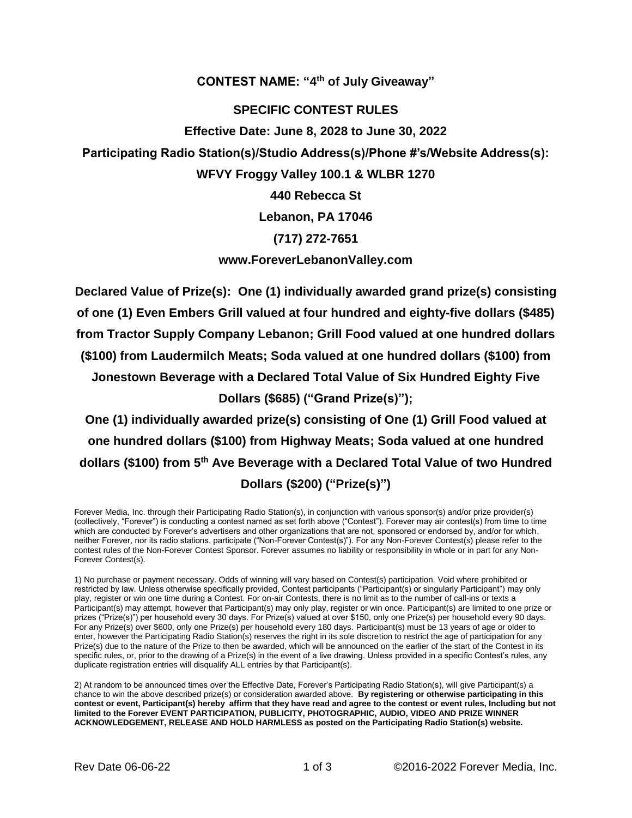**CONTEST NAME: "4 th of July Giveaway"**

## **SPECIFIC CONTEST RULES**

**Effective Date: June 8, 2028 to June 30, 2022**

**Participating Radio Station(s)/Studio Address(s)/Phone #'s/Website Address(s):**

**WFVY Froggy Valley 100.1 & WLBR 1270**

**440 Rebecca St**

**Lebanon, PA 17046**

## **(717) 272-7651**

## **www.ForeverLebanonValley.com**

**Declared Value of Prize(s): One (1) individually awarded grand prize(s) consisting of one (1) Even Embers Grill valued at four hundred and eighty-five dollars (\$485) from Tractor Supply Company Lebanon; Grill Food valued at one hundred dollars (\$100) from Laudermilch Meats; Soda valued at one hundred dollars (\$100) from Jonestown Beverage with a Declared Total Value of Six Hundred Eighty Five Dollars (\$685) ("Grand Prize(s)");**

**One (1) individually awarded prize(s) consisting of One (1) Grill Food valued at one hundred dollars (\$100) from Highway Meats; Soda valued at one hundred dollars (\$100) from 5 th Ave Beverage with a Declared Total Value of two Hundred Dollars (\$200) ("Prize(s)")**

Forever Media, Inc. through their Participating Radio Station(s), in conjunction with various sponsor(s) and/or prize provider(s) (collectively, "Forever") is conducting a contest named as set forth above ("Contest"). Forever may air contest(s) from time to time which are conducted by Forever's advertisers and other organizations that are not, sponsored or endorsed by, and/or for which, neither Forever, nor its radio stations, participate ("Non-Forever Contest(s)"). For any Non-Forever Contest(s) please refer to the contest rules of the Non-Forever Contest Sponsor. Forever assumes no liability or responsibility in whole or in part for any Non-Forever Contest(s).

1) No purchase or payment necessary. Odds of winning will vary based on Contest(s) participation. Void where prohibited or restricted by law. Unless otherwise specifically provided, Contest participants ("Participant(s) or singularly Participant") may only play, register or win one time during a Contest. For on-air Contests, there is no limit as to the number of call-ins or texts a Participant(s) may attempt, however that Participant(s) may only play, register or win once. Participant(s) are limited to one prize or prizes ("Prize(s)") per household every 30 days. For Prize(s) valued at over \$150, only one Prize(s) per household every 90 days. For any Prize(s) over \$600, only one Prize(s) per household every 180 days. Participant(s) must be 13 years of age or older to enter, however the Participating Radio Station(s) reserves the right in its sole discretion to restrict the age of participation for any Prize(s) due to the nature of the Prize to then be awarded, which will be announced on the earlier of the start of the Contest in its specific rules, or, prior to the drawing of a Prize(s) in the event of a live drawing. Unless provided in a specific Contest's rules, any duplicate registration entries will disqualify ALL entries by that Participant(s).

2) At random to be announced times over the Effective Date, Forever's Participating Radio Station(s), will give Participant(s) a chance to win the above described prize(s) or consideration awarded above. **By registering or otherwise participating in this contest or event, Participant(s) hereby affirm that they have read and agree to the contest or event rules, Including but not limited to the Forever EVENT PARTICIPATION, PUBLICITY, PHOTOGRAPHIC, AUDIO, VIDEO AND PRIZE WINNER ACKNOWLEDGEMENT, RELEASE AND HOLD HARMLESS as posted on the Participating Radio Station(s) website.**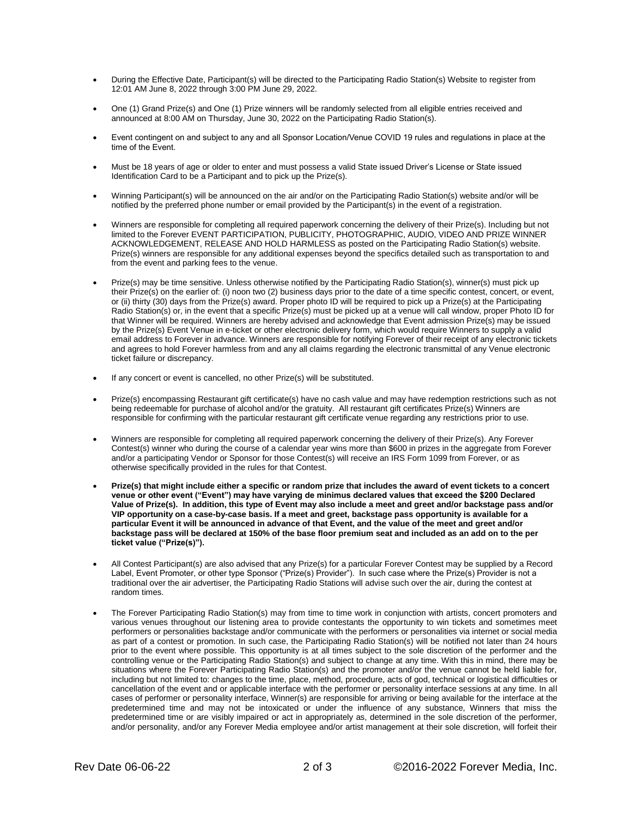- During the Effective Date, Participant(s) will be directed to the Participating Radio Station(s) Website to register from 12:01 AM June 8, 2022 through 3:00 PM June 29, 2022.
- One (1) Grand Prize(s) and One (1) Prize winners will be randomly selected from all eligible entries received and announced at 8:00 AM on Thursday, June 30, 2022 on the Participating Radio Station(s).
- Event contingent on and subject to any and all Sponsor Location/Venue COVID 19 rules and regulations in place at the time of the Event.
- Must be 18 years of age or older to enter and must possess a valid State issued Driver's License or State issued Identification Card to be a Participant and to pick up the Prize(s).
- Winning Participant(s) will be announced on the air and/or on the Participating Radio Station(s) website and/or will be notified by the preferred phone number or email provided by the Participant(s) in the event of a registration.
- Winners are responsible for completing all required paperwork concerning the delivery of their Prize(s). Including but not limited to the Forever EVENT PARTICIPATION, PUBLICITY, PHOTOGRAPHIC, AUDIO, VIDEO AND PRIZE WINNER ACKNOWLEDGEMENT, RELEASE AND HOLD HARMLESS as posted on the Participating Radio Station(s) website. Prize(s) winners are responsible for any additional expenses beyond the specifics detailed such as transportation to and from the event and parking fees to the venue.
- Prize(s) may be time sensitive. Unless otherwise notified by the Participating Radio Station(s), winner(s) must pick up their Prize(s) on the earlier of: (i) noon two (2) business days prior to the date of a time specific contest, concert, or event, or (ii) thirty (30) days from the Prize(s) award. Proper photo ID will be required to pick up a Prize(s) at the Participating Radio Station(s) or, in the event that a specific Prize(s) must be picked up at a venue will call window, proper Photo ID for that Winner will be required. Winners are hereby advised and acknowledge that Event admission Prize(s) may be issued by the Prize(s) Event Venue in e-ticket or other electronic delivery form, which would require Winners to supply a valid email address to Forever in advance. Winners are responsible for notifying Forever of their receipt of any electronic tickets and agrees to hold Forever harmless from and any all claims regarding the electronic transmittal of any Venue electronic ticket failure or discrepancy.
- If any concert or event is cancelled, no other Prize(s) will be substituted.
- Prize(s) encompassing Restaurant gift certificate(s) have no cash value and may have redemption restrictions such as not being redeemable for purchase of alcohol and/or the gratuity. All restaurant gift certificates Prize(s) Winners are responsible for confirming with the particular restaurant gift certificate venue regarding any restrictions prior to use.
- Winners are responsible for completing all required paperwork concerning the delivery of their Prize(s). Any Forever Contest(s) winner who during the course of a calendar year wins more than \$600 in prizes in the aggregate from Forever and/or a participating Vendor or Sponsor for those Contest(s) will receive an IRS Form 1099 from Forever, or as otherwise specifically provided in the rules for that Contest.
- **Prize(s) that might include either a specific or random prize that includes the award of event tickets to a concert venue or other event ("Event") may have varying de minimus declared values that exceed the \$200 Declared Value of Prize(s). In addition, this type of Event may also include a meet and greet and/or backstage pass and/or VIP opportunity on a case-by-case basis. If a meet and greet, backstage pass opportunity is available for a particular Event it will be announced in advance of that Event, and the value of the meet and greet and/or backstage pass will be declared at 150% of the base floor premium seat and included as an add on to the per ticket value ("Prize(s)").**
- All Contest Participant(s) are also advised that any Prize(s) for a particular Forever Contest may be supplied by a Record Label, Event Promoter, or other type Sponsor ("Prize(s) Provider"). In such case where the Prize(s) Provider is not a traditional over the air advertiser, the Participating Radio Stations will advise such over the air, during the contest at random times.
- The Forever Participating Radio Station(s) may from time to time work in conjunction with artists, concert promoters and various venues throughout our listening area to provide contestants the opportunity to win tickets and sometimes meet performers or personalities backstage and/or communicate with the performers or personalities via internet or social media as part of a contest or promotion. In such case, the Participating Radio Station(s) will be notified not later than 24 hours prior to the event where possible. This opportunity is at all times subject to the sole discretion of the performer and the controlling venue or the Participating Radio Station(s) and subject to change at any time. With this in mind, there may be situations where the Forever Participating Radio Station(s) and the promoter and/or the venue cannot be held liable for, including but not limited to: changes to the time, place, method, procedure, acts of god, technical or logistical difficulties or cancellation of the event and or applicable interface with the performer or personality interface sessions at any time. In all cases of performer or personality interface, Winner(s) are responsible for arriving or being available for the interface at the predetermined time and may not be intoxicated or under the influence of any substance, Winners that miss the predetermined time or are visibly impaired or act in appropriately as, determined in the sole discretion of the performer, and/or personality, and/or any Forever Media employee and/or artist management at their sole discretion, will forfeit their